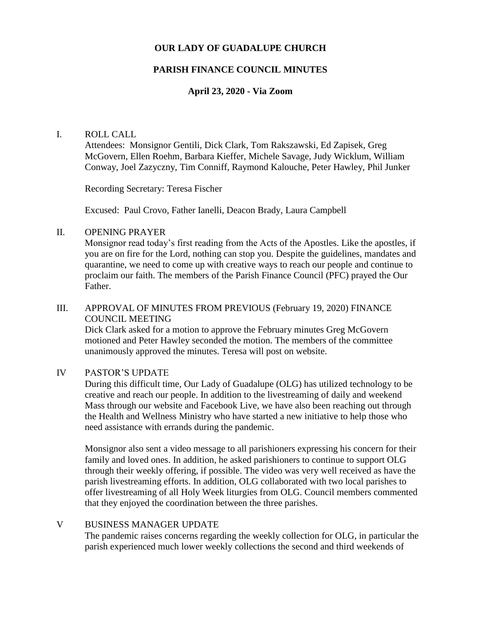# **OUR LADY OF GUADALUPE CHURCH**

# **PARISH FINANCE COUNCIL MINUTES**

## **April 23, 2020 - Via Zoom**

#### I. ROLL CALL

Attendees: Monsignor Gentili, Dick Clark, Tom Rakszawski, Ed Zapisek, Greg McGovern, Ellen Roehm, Barbara Kieffer, Michele Savage, Judy Wicklum, William Conway, Joel Zazyczny, Tim Conniff, Raymond Kalouche, Peter Hawley, Phil Junker

Recording Secretary: Teresa Fischer

Excused: Paul Crovo, Father Ianelli, Deacon Brady, Laura Campbell

## II. OPENING PRAYER

Monsignor read today's first reading from the Acts of the Apostles. Like the apostles, if you are on fire for the Lord, nothing can stop you. Despite the guidelines, mandates and quarantine, we need to come up with creative ways to reach our people and continue to proclaim our faith. The members of the Parish Finance Council (PFC) prayed the Our Father.

## III. APPROVAL OF MINUTES FROM PREVIOUS (February 19, 2020) FINANCE COUNCIL MEETING

Dick Clark asked for a motion to approve the February minutes Greg McGovern motioned and Peter Hawley seconded the motion. The members of the committee unanimously approved the minutes. Teresa will post on website.

## IV PASTOR'S UPDATE

During this difficult time, Our Lady of Guadalupe (OLG) has utilized technology to be creative and reach our people. In addition to the livestreaming of daily and weekend Mass through our website and Facebook Live, we have also been reaching out through the Health and Wellness Ministry who have started a new initiative to help those who need assistance with errands during the pandemic.

Monsignor also sent a video message to all parishioners expressing his concern for their family and loved ones. In addition, he asked parishioners to continue to support OLG through their weekly offering, if possible. The video was very well received as have the parish livestreaming efforts. In addition, OLG collaborated with two local parishes to offer livestreaming of all Holy Week liturgies from OLG. Council members commented that they enjoyed the coordination between the three parishes.

# V BUSINESS MANAGER UPDATE

The pandemic raises concerns regarding the weekly collection for OLG, in particular the parish experienced much lower weekly collections the second and third weekends of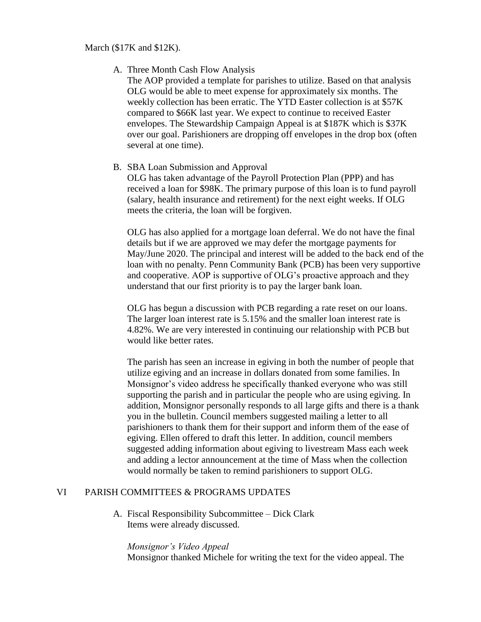March (\$17K and \$12K).

A. Three Month Cash Flow Analysis

The AOP provided a template for parishes to utilize. Based on that analysis OLG would be able to meet expense for approximately six months. The weekly collection has been erratic. The YTD Easter collection is at \$57K compared to \$66K last year. We expect to continue to received Easter envelopes. The Stewardship Campaign Appeal is at \$187K which is \$37K over our goal. Parishioners are dropping off envelopes in the drop box (often several at one time).

B. SBA Loan Submission and Approval

OLG has taken advantage of the Payroll Protection Plan (PPP) and has received a loan for \$98K. The primary purpose of this loan is to fund payroll (salary, health insurance and retirement) for the next eight weeks. If OLG meets the criteria, the loan will be forgiven.

OLG has also applied for a mortgage loan deferral. We do not have the final details but if we are approved we may defer the mortgage payments for May/June 2020. The principal and interest will be added to the back end of the loan with no penalty. Penn Community Bank (PCB) has been very supportive and cooperative. AOP is supportive of OLG's proactive approach and they understand that our first priority is to pay the larger bank loan.

OLG has begun a discussion with PCB regarding a rate reset on our loans. The larger loan interest rate is 5.15% and the smaller loan interest rate is 4.82%. We are very interested in continuing our relationship with PCB but would like better rates.

The parish has seen an increase in egiving in both the number of people that utilize egiving and an increase in dollars donated from some families. In Monsignor's video address he specifically thanked everyone who was still supporting the parish and in particular the people who are using egiving. In addition, Monsignor personally responds to all large gifts and there is a thank you in the bulletin. Council members suggested mailing a letter to all parishioners to thank them for their support and inform them of the ease of egiving. Ellen offered to draft this letter. In addition, council members suggested adding information about egiving to livestream Mass each week and adding a lector announcement at the time of Mass when the collection would normally be taken to remind parishioners to support OLG.

# VI PARISH COMMITTEES & PROGRAMS UPDATES

A. Fiscal Responsibility Subcommittee – Dick Clark Items were already discussed.

*Monsignor's Video Appeal* Monsignor thanked Michele for writing the text for the video appeal. The